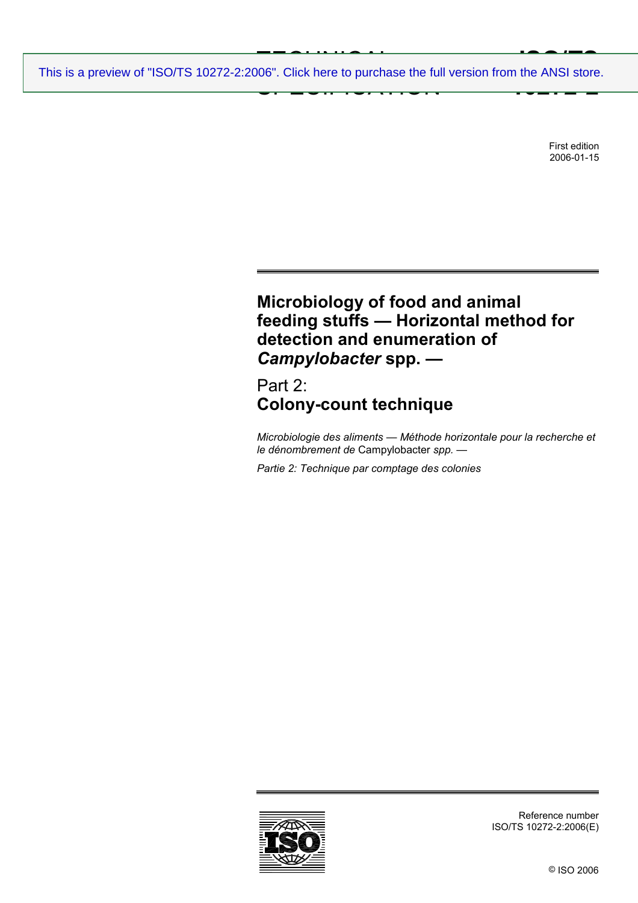$T = 2 + 1 + 1 = 2 + 1$ SPECIFICATION **ISO/TS**<br> **IDO** ANSI etero **10272-2** [This is a preview of "ISO/TS 10272-2:2006". Click here to purchase the full version from the ANSI store.](http://webstore.ansi.org/RecordDetail.aspx?sku=ISO%2FTS%2010272-2:2006&source=preview)

> First edition 2006-01-15

# **Microbiology of food and animal feeding stuffs — Horizontal method for detection and enumeration of**  *Campylobacter* **spp. —**

## Part 2: **Colony-count technique**

*Microbiologie des aliments — Méthode horizontale pour la recherche et le dénombrement de* Campylobacter *spp. —* 

*Partie 2: Technique par comptage des colonies* 



Reference number ISO/TS 10272-2:2006(E)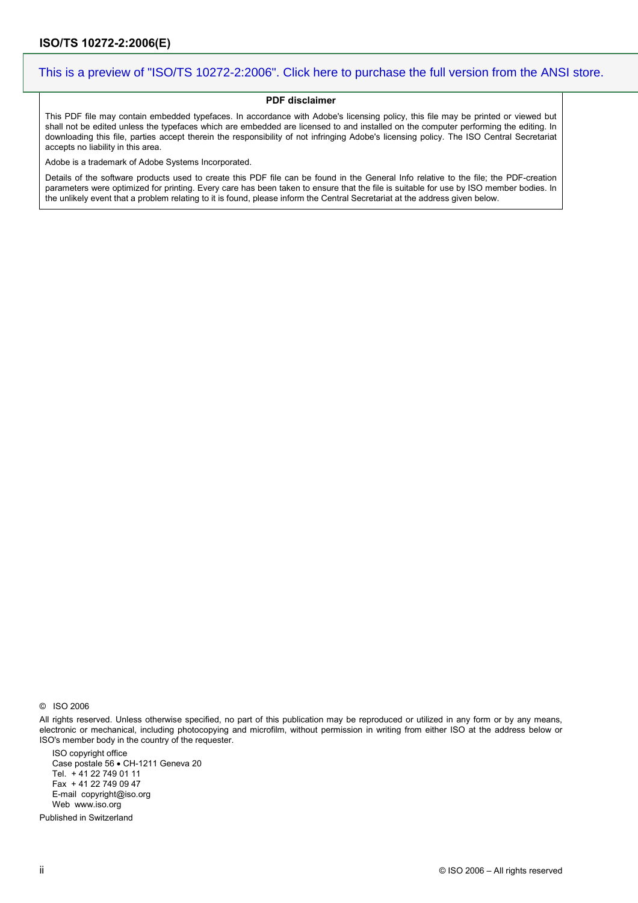#### **PDF disclaimer**

This PDF file may contain embedded typefaces. In accordance with Adobe's licensing policy, this file may be printed or viewed but shall not be edited unless the typefaces which are embedded are licensed to and installed on the computer performing the editing. In downloading this file, parties accept therein the responsibility of not infringing Adobe's licensing policy. The ISO Central Secretariat accepts no liability in this area.

Adobe is a trademark of Adobe Systems Incorporated.

Details of the software products used to create this PDF file can be found in the General Info relative to the file; the PDF-creation parameters were optimized for printing. Every care has been taken to ensure that the file is suitable for use by ISO member bodies. In the unlikely event that a problem relating to it is found, please inform the Central Secretariat at the address given below.

© ISO 2006

All rights reserved. Unless otherwise specified, no part of this publication may be reproduced or utilized in any form or by any means, electronic or mechanical, including photocopying and microfilm, without permission in writing from either ISO at the address below or ISO's member body in the country of the requester.

ISO copyright office Case postale 56 • CH-1211 Geneva 20 Tel. + 41 22 749 01 11 Fax + 41 22 749 09 47 E-mail copyright@iso.org Web www.iso.org

Published in Switzerland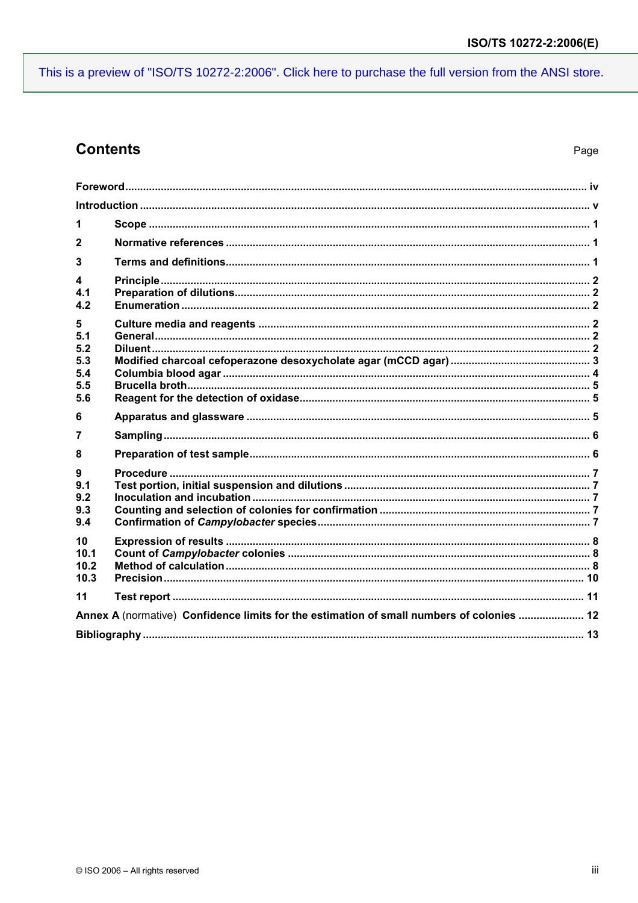## **Contents**

| 1              |                                                                                           |  |
|----------------|-------------------------------------------------------------------------------------------|--|
| $\mathbf{2}$   |                                                                                           |  |
| 3              |                                                                                           |  |
| 4              |                                                                                           |  |
| 4.1<br>4.2     |                                                                                           |  |
| 5              |                                                                                           |  |
| 5.1<br>5.2     |                                                                                           |  |
| 5.3            |                                                                                           |  |
| 5.4            |                                                                                           |  |
| 5.5<br>5.6     |                                                                                           |  |
|                |                                                                                           |  |
|                |                                                                                           |  |
| 6              |                                                                                           |  |
| $\overline{7}$ |                                                                                           |  |
| 8              |                                                                                           |  |
| 9              |                                                                                           |  |
| 9.1            |                                                                                           |  |
| 9.2            |                                                                                           |  |
| 9.3<br>9.4     |                                                                                           |  |
| 10             |                                                                                           |  |
| 10.1           |                                                                                           |  |
| 10.2           |                                                                                           |  |
| 10.3           |                                                                                           |  |
| 11             |                                                                                           |  |
|                | Annex A (normative) Confidence limits for the estimation of small numbers of colonies  12 |  |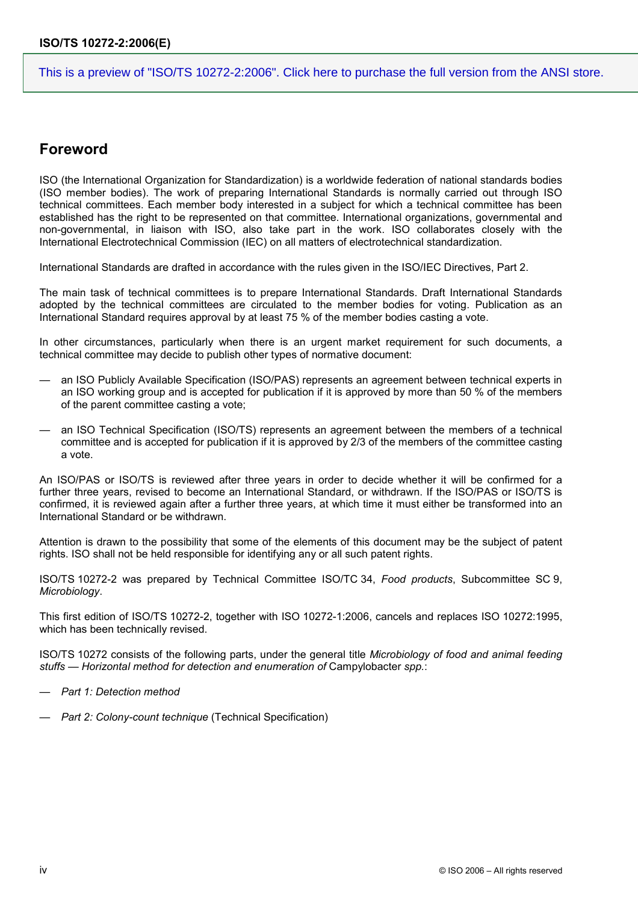### **Foreword**

ISO (the International Organization for Standardization) is a worldwide federation of national standards bodies (ISO member bodies). The work of preparing International Standards is normally carried out through ISO technical committees. Each member body interested in a subject for which a technical committee has been established has the right to be represented on that committee. International organizations, governmental and non-governmental, in liaison with ISO, also take part in the work. ISO collaborates closely with the International Electrotechnical Commission (IEC) on all matters of electrotechnical standardization.

International Standards are drafted in accordance with the rules given in the ISO/IEC Directives, Part 2.

The main task of technical committees is to prepare International Standards. Draft International Standards adopted by the technical committees are circulated to the member bodies for voting. Publication as an International Standard requires approval by at least 75 % of the member bodies casting a vote.

In other circumstances, particularly when there is an urgent market requirement for such documents, a technical committee may decide to publish other types of normative document:

- an ISO Publicly Available Specification (ISO/PAS) represents an agreement between technical experts in an ISO working group and is accepted for publication if it is approved by more than 50 % of the members of the parent committee casting a vote;
- an ISO Technical Specification (ISO/TS) represents an agreement between the members of a technical committee and is accepted for publication if it is approved by 2/3 of the members of the committee casting a vote.

An ISO/PAS or ISO/TS is reviewed after three years in order to decide whether it will be confirmed for a further three years, revised to become an International Standard, or withdrawn. If the ISO/PAS or ISO/TS is confirmed, it is reviewed again after a further three years, at which time it must either be transformed into an International Standard or be withdrawn.

Attention is drawn to the possibility that some of the elements of this document may be the subject of patent rights. ISO shall not be held responsible for identifying any or all such patent rights.

ISO/TS 10272-2 was prepared by Technical Committee ISO/TC 34, *Food products*, Subcommittee SC 9, *Microbiology*.

This first edition of ISO/TS 10272-2, together with ISO 10272-1:2006, cancels and replaces ISO 10272:1995, which has been technically revised.

ISO/TS 10272 consists of the following parts, under the general title *Microbiology of food and animal feeding stuffs — Horizontal method for detection and enumeration of* Campylobacter *spp.*:

- *Part 1: Detection method*
- *Part 2: Colony-count technique* (Technical Specification)